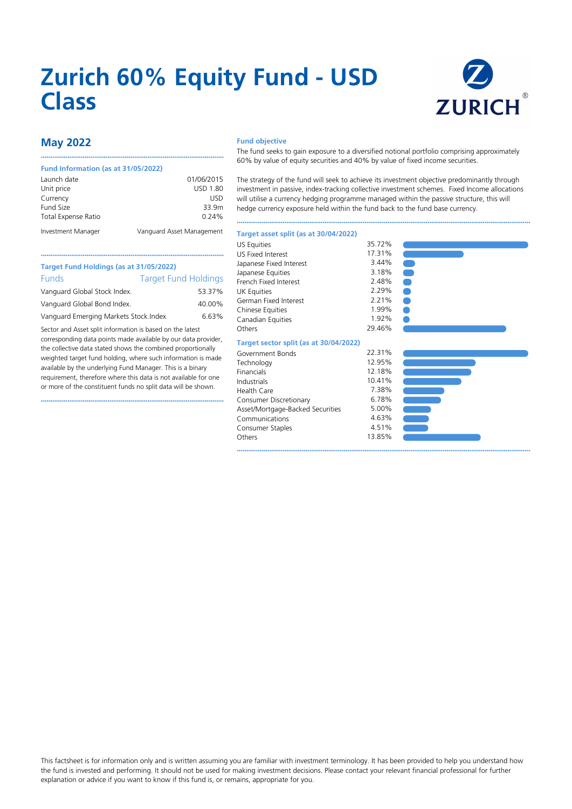# **Zurich 60% Equity Fund - USD Class**



# **May 2022**

#### **Fund Information (as at 31/05/2022)**

| Launch date                | 01/06/2015                |
|----------------------------|---------------------------|
| Unit price                 | <b>USD 1.80</b>           |
| Currency                   | <b>USD</b>                |
| Fund Size                  | 33.9m                     |
| <b>Total Expense Ratio</b> | 0.24%                     |
| Investment Manager         | Vanguard Asset Management |

••••••••••••••••••••••••••••••••••••••••••••••••••••••••••••••••••••••••••••••••••••••••••••••••

### **Fund objective**

The fund seeks to gain exposure to a diversified notional portfolio comprising approximately 60% by value of equity securities and 40% by value of fixed income securities.

The strategy of the fund will seek to achieve its investment objective predominantly through investment in passive, index-tracking collective investment schemes. Fixed Income allocations will utilise a currency hedging programme managed within the passive structure, this will hedge currency exposure held within the fund back to the fund base currency.

••••••••••••••••••••••••••••••••••••••••••••••••••••••••••••••••••••••••••••••••••••••••••••••••••••••••••••••••••••••••••••••••••••••••••••••••••••••••••

## •••••••••••••••••••••••••••••••••••••••••••••••••••••••••••••••••••••••••••••••••••••••••••••••• **Target Fund Holdings (as at 31/05/2022)** Funds Target Fund Holdings Vanguard Global Stock Index. 53.37% Vanguard Global Bond Index. 40.00% Vanguard Emerging Markets Stock.Index 6.63%

Sector and Asset split information is based on the latest corresponding data points made available by our data provider, the collective data stated shows the combined proportionally weighted target fund holding, where such information is made available by the underlying Fund Manager. This is a binary requirement, therefore where this data is not available for one or more of the constituent funds no split data will be shown.

••••••••••••••••••••••••••••••••••••••••••••••••••••••••••••••••••••••••••••••••••••••••••••••••

#### **Target asset split (as at 30/04/2022)** US Equities 35.72%

| UJ LYUILICJ              |        |
|--------------------------|--------|
| <b>US Fixed Interest</b> | 17.31% |
| Japanese Fixed Interest  | 3.44%  |
| Japanese Equities        | 3.18%  |
| French Fixed Interest    | 2.48%  |
| <b>UK Equities</b>       | 2.29%  |
| German Fixed Interest    | 2.21%  |
| <b>Chinese Equities</b>  | 1.99%  |
| Canadian Equities        | 1.92%  |
| Others                   | 29.46% |
|                          |        |

## **Target sector split (as at 30/04/2022)**

| Government Bonds                 | 22.31% |
|----------------------------------|--------|
| Technology                       | 12.95% |
| Financials                       | 12.18% |
| Industrials                      | 10.41% |
| Health Care                      | 7.38%  |
| Consumer Discretionary           | 6.78%  |
| Asset/Mortgage-Backed Securities | 5.00%  |
| Communications                   | 4.63%  |
| Consumer Staples                 | 4.51%  |
| Others                           | 13.85% |
|                                  |        |



13.85% ••••••••••••••••••••••••••••••••••••••••••••••••••••••••••••••••••••••••••••••••••••••••••••••••••••••••••••••••••••••••••••••••••••••••••••••••••••••••••